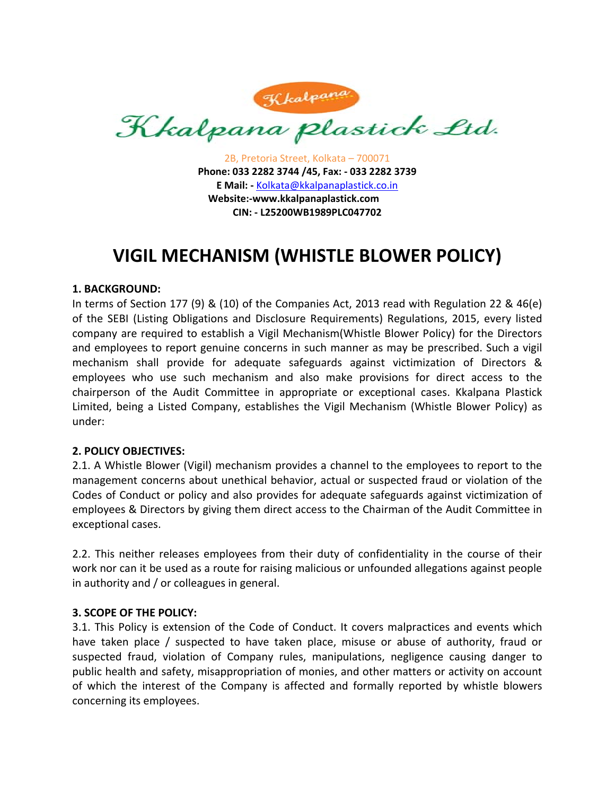

2B, Pretoria Street, Kolkata – 700071 **Phone: 033 2282 3744 /45, Fax: ‐ 033 2282 3739 E Mail: ‐** Kolkata@kkalpanaplastick.co.in **Website:‐www.kkalpanaplastick.com CIN: ‐ L25200WB1989PLC047702**

# **VIGIL MECHANISM (WHISTLE BLOWER POLICY)**

## **1. BACKGROUND:**

In terms of Section 177 (9) & (10) of the Companies Act, 2013 read with Regulation 22 & 46(e) of the SEBI (Listing Obligations and Disclosure Requirements) Regulations, 2015, every listed company are required to establish a Vigil Mechanism(Whistle Blower Policy) for the Directors and employees to report genuine concerns in such manner as may be prescribed. Such a vigil mechanism shall provide for adequate safeguards against victimization of Directors & employees who use such mechanism and also make provisions for direct access to the chairperson of the Audit Committee in appropriate or exceptional cases. Kkalpana Plastick Limited, being a Listed Company, establishes the Vigil Mechanism (Whistle Blower Policy) as under:

## **2. POLICY OBJECTIVES:**

2.1. A Whistle Blower (Vigil) mechanism provides a channel to the employees to report to the management concerns about unethical behavior, actual or suspected fraud or violation of the Codes of Conduct or policy and also provides for adequate safeguards against victimization of employees & Directors by giving them direct access to the Chairman of the Audit Committee in exceptional cases.

2.2. This neither releases employees from their duty of confidentiality in the course of their work nor can it be used as a route for raising malicious or unfounded allegations against people in authority and / or colleagues in general.

## **3. SCOPE OF THE POLICY:**

3.1. This Policy is extension of the Code of Conduct. It covers malpractices and events which have taken place / suspected to have taken place, misuse or abuse of authority, fraud or suspected fraud, violation of Company rules, manipulations, negligence causing danger to public health and safety, misappropriation of monies, and other matters or activity on account of which the interest of the Company is affected and formally reported by whistle blowers concerning its employees.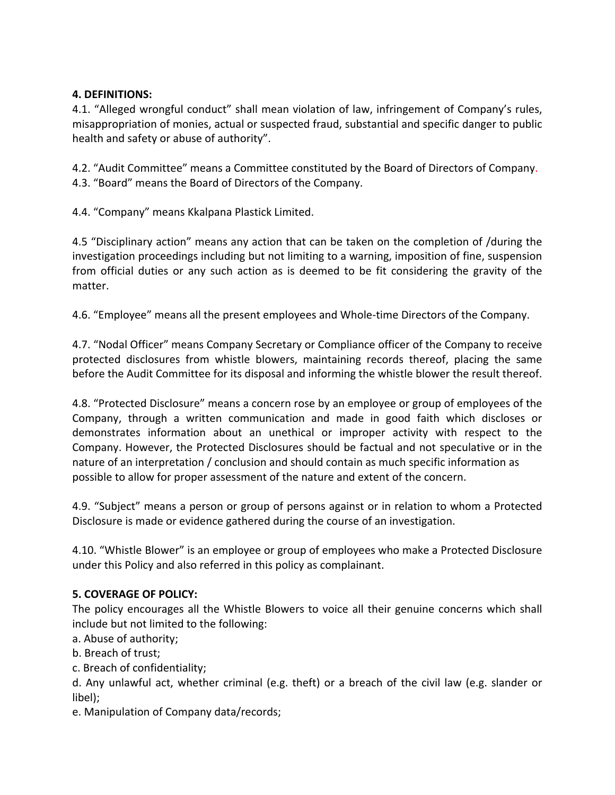# **4. DEFINITIONS:**

4.1. "Alleged wrongful conduct" shall mean violation of law, infringement of Company's rules, misappropriation of monies, actual or suspected fraud, substantial and specific danger to public health and safety or abuse of authority".

4.2. "Audit Committee" means a Committee constituted by the Board of Directors of Company. 4.3. "Board" means the Board of Directors of the Company.

4.4. "Company" means Kkalpana Plastick Limited.

4.5 "Disciplinary action" means any action that can be taken on the completion of /during the investigation proceedings including but not limiting to a warning, imposition of fine, suspension from official duties or any such action as is deemed to be fit considering the gravity of the matter.

4.6. "Employee" means all the present employees and Whole‐time Directors of the Company.

4.7. "Nodal Officer" means Company Secretary or Compliance officer of the Company to receive protected disclosures from whistle blowers, maintaining records thereof, placing the same before the Audit Committee for its disposal and informing the whistle blower the result thereof.

4.8. "Protected Disclosure" means a concern rose by an employee or group of employees of the Company, through a written communication and made in good faith which discloses or demonstrates information about an unethical or improper activity with respect to the Company. However, the Protected Disclosures should be factual and not speculative or in the nature of an interpretation / conclusion and should contain as much specific information as possible to allow for proper assessment of the nature and extent of the concern.

4.9. "Subject" means a person or group of persons against or in relation to whom a Protected Disclosure is made or evidence gathered during the course of an investigation.

4.10. "Whistle Blower" is an employee or group of employees who make a Protected Disclosure under this Policy and also referred in this policy as complainant.

# **5. COVERAGE OF POLICY:**

The policy encourages all the Whistle Blowers to voice all their genuine concerns which shall include but not limited to the following:

a. Abuse of authority;

- b. Breach of trust;
- c. Breach of confidentiality;

d. Any unlawful act, whether criminal (e.g. theft) or a breach of the civil law (e.g. slander or libel);

e. Manipulation of Company data/records;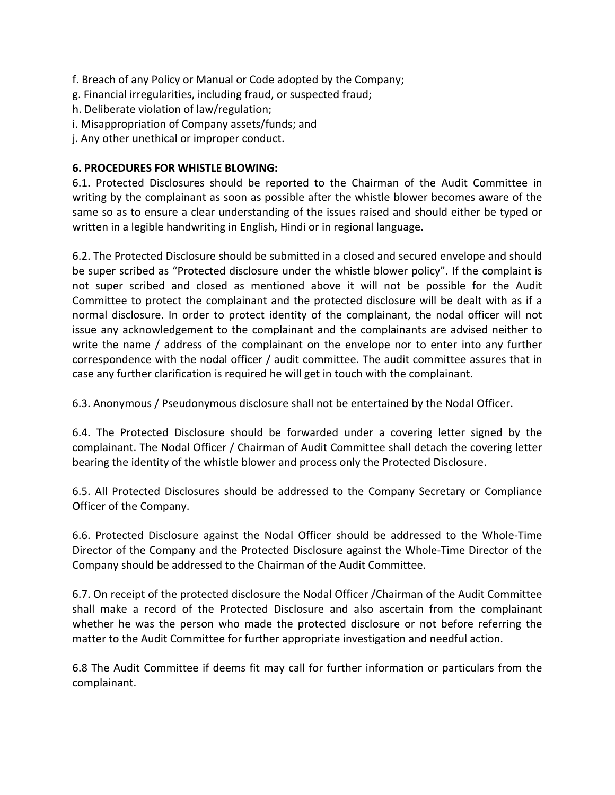f. Breach of any Policy or Manual or Code adopted by the Company;

- g. Financial irregularities, including fraud, or suspected fraud;
- h. Deliberate violation of law/regulation;
- i. Misappropriation of Company assets/funds; and
- j. Any other unethical or improper conduct.

## **6. PROCEDURES FOR WHISTLE BLOWING:**

6.1. Protected Disclosures should be reported to the Chairman of the Audit Committee in writing by the complainant as soon as possible after the whistle blower becomes aware of the same so as to ensure a clear understanding of the issues raised and should either be typed or written in a legible handwriting in English, Hindi or in regional language.

6.2. The Protected Disclosure should be submitted in a closed and secured envelope and should be super scribed as "Protected disclosure under the whistle blower policy". If the complaint is not super scribed and closed as mentioned above it will not be possible for the Audit Committee to protect the complainant and the protected disclosure will be dealt with as if a normal disclosure. In order to protect identity of the complainant, the nodal officer will not issue any acknowledgement to the complainant and the complainants are advised neither to write the name / address of the complainant on the envelope nor to enter into any further correspondence with the nodal officer / audit committee. The audit committee assures that in case any further clarification is required he will get in touch with the complainant.

6.3. Anonymous / Pseudonymous disclosure shall not be entertained by the Nodal Officer.

6.4. The Protected Disclosure should be forwarded under a covering letter signed by the complainant. The Nodal Officer / Chairman of Audit Committee shall detach the covering letter bearing the identity of the whistle blower and process only the Protected Disclosure.

6.5. All Protected Disclosures should be addressed to the Company Secretary or Compliance Officer of the Company.

6.6. Protected Disclosure against the Nodal Officer should be addressed to the Whole‐Time Director of the Company and the Protected Disclosure against the Whole‐Time Director of the Company should be addressed to the Chairman of the Audit Committee.

6.7. On receipt of the protected disclosure the Nodal Officer /Chairman of the Audit Committee shall make a record of the Protected Disclosure and also ascertain from the complainant whether he was the person who made the protected disclosure or not before referring the matter to the Audit Committee for further appropriate investigation and needful action.

6.8 The Audit Committee if deems fit may call for further information or particulars from the complainant.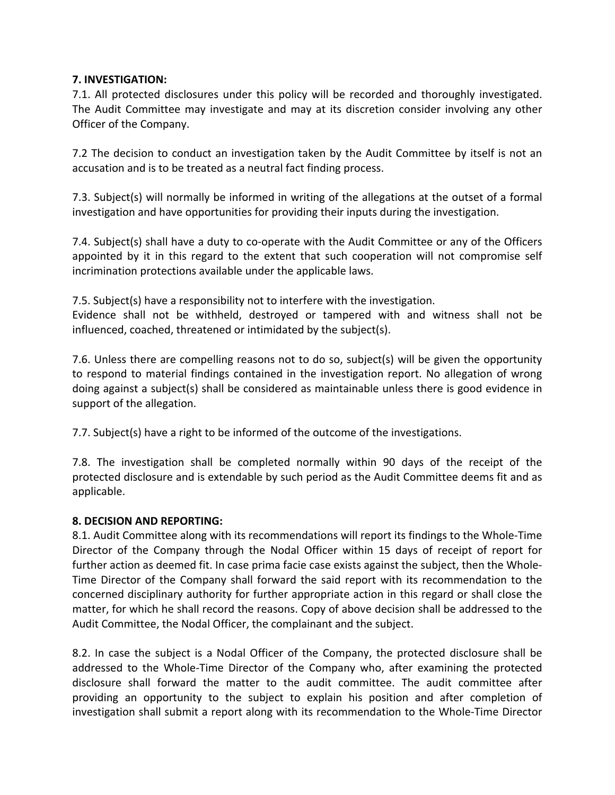## **7. INVESTIGATION:**

7.1. All protected disclosures under this policy will be recorded and thoroughly investigated. The Audit Committee may investigate and may at its discretion consider involving any other Officer of the Company.

7.2 The decision to conduct an investigation taken by the Audit Committee by itself is not an accusation and is to be treated as a neutral fact finding process.

7.3. Subject(s) will normally be informed in writing of the allegations at the outset of a formal investigation and have opportunities for providing their inputs during the investigation.

7.4. Subject(s) shall have a duty to co-operate with the Audit Committee or any of the Officers appointed by it in this regard to the extent that such cooperation will not compromise self incrimination protections available under the applicable laws.

7.5. Subject(s) have a responsibility not to interfere with the investigation.

Evidence shall not be withheld, destroyed or tampered with and witness shall not be influenced, coached, threatened or intimidated by the subject(s).

7.6. Unless there are compelling reasons not to do so, subject(s) will be given the opportunity to respond to material findings contained in the investigation report. No allegation of wrong doing against a subject(s) shall be considered as maintainable unless there is good evidence in support of the allegation.

7.7. Subject(s) have a right to be informed of the outcome of the investigations.

7.8. The investigation shall be completed normally within 90 days of the receipt of the protected disclosure and is extendable by such period as the Audit Committee deems fit and as applicable.

## **8. DECISION AND REPORTING:**

8.1. Audit Committee along with its recommendations will report its findings to the Whole-Time Director of the Company through the Nodal Officer within 15 days of receipt of report for further action as deemed fit. In case prima facie case exists against the subject, then the Whole-Time Director of the Company shall forward the said report with its recommendation to the concerned disciplinary authority for further appropriate action in this regard or shall close the matter, for which he shall record the reasons. Copy of above decision shall be addressed to the Audit Committee, the Nodal Officer, the complainant and the subject.

8.2. In case the subject is a Nodal Officer of the Company, the protected disclosure shall be addressed to the Whole-Time Director of the Company who, after examining the protected disclosure shall forward the matter to the audit committee. The audit committee after providing an opportunity to the subject to explain his position and after completion of investigation shall submit a report along with its recommendation to the Whole‐Time Director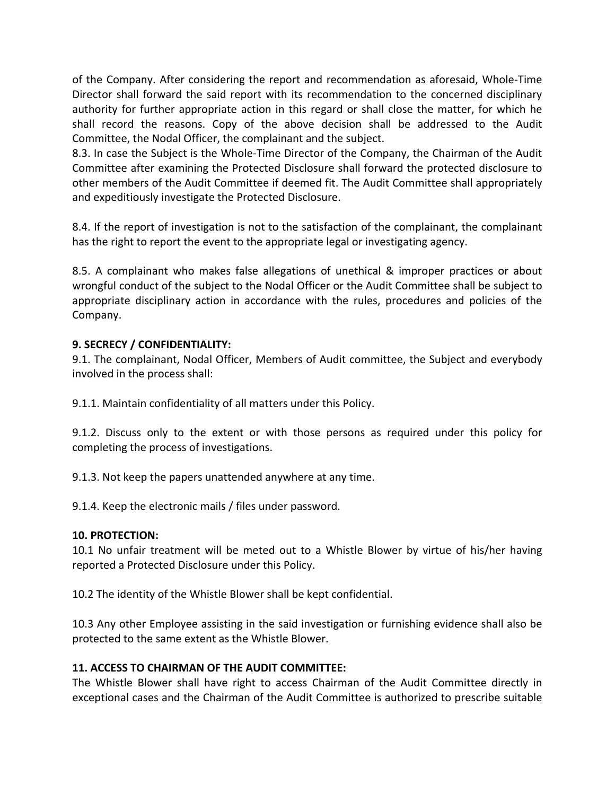of the Company. After considering the report and recommendation as aforesaid, Whole‐Time Director shall forward the said report with its recommendation to the concerned disciplinary authority for further appropriate action in this regard or shall close the matter, for which he shall record the reasons. Copy of the above decision shall be addressed to the Audit Committee, the Nodal Officer, the complainant and the subject.

8.3. In case the Subject is the Whole-Time Director of the Company, the Chairman of the Audit Committee after examining the Protected Disclosure shall forward the protected disclosure to other members of the Audit Committee if deemed fit. The Audit Committee shall appropriately and expeditiously investigate the Protected Disclosure.

8.4. If the report of investigation is not to the satisfaction of the complainant, the complainant has the right to report the event to the appropriate legal or investigating agency.

8.5. A complainant who makes false allegations of unethical & improper practices or about wrongful conduct of the subject to the Nodal Officer or the Audit Committee shall be subject to appropriate disciplinary action in accordance with the rules, procedures and policies of the Company.

# **9. SECRECY / CONFIDENTIALITY:**

9.1. The complainant, Nodal Officer, Members of Audit committee, the Subject and everybody involved in the process shall:

9.1.1. Maintain confidentiality of all matters under this Policy.

9.1.2. Discuss only to the extent or with those persons as required under this policy for completing the process of investigations.

9.1.3. Not keep the papers unattended anywhere at any time.

9.1.4. Keep the electronic mails / files under password.

## **10. PROTECTION:**

10.1 No unfair treatment will be meted out to a Whistle Blower by virtue of his/her having reported a Protected Disclosure under this Policy.

10.2 The identity of the Whistle Blower shall be kept confidential.

10.3 Any other Employee assisting in the said investigation or furnishing evidence shall also be protected to the same extent as the Whistle Blower.

# **11. ACCESS TO CHAIRMAN OF THE AUDIT COMMITTEE:**

The Whistle Blower shall have right to access Chairman of the Audit Committee directly in exceptional cases and the Chairman of the Audit Committee is authorized to prescribe suitable